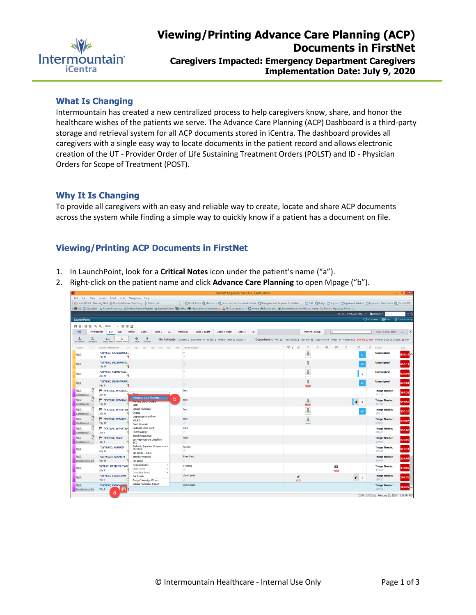

**Implementation Date: July 9, 2020**

## **What Is Changing**

Intermountain has created a new centralized process to help caregivers know, share, and honor the healthcare wishes of the patients we serve. The Advance Care Planning (ACP) Dashboard is a third-party storage and retrieval system for all ACP documents stored in iCentra. The dashboard provides all caregivers with a single easy way to locate documents in the patient record and allows electronic creation of the UT - Provider Order of Life Sustaining Treatment Orders (POLST) and ID - Physician Orders for Scope of Treatment (POST).

## **Why It Is Changing**

To provide all caregivers with an easy and reliable way to create, locate and share ACP documents across the system while finding a simple way to quickly know if a patient has a document on file.

## **Viewing/Printing ACP Documents in FirstNet**

- 1. In LaunchPoint, look for a **Critical Notes** icon under the patient's name ("a").
- 2. Right-click on the patient name and click **Advance Care Planning** to open Mpage ("b").

| $ 0^{\circ}$ $\times$<br>FirstNet Organizer for CALL, CARIE ANN                                                                                                                                                                                                                                                                                           |
|-----------------------------------------------------------------------------------------------------------------------------------------------------------------------------------------------------------------------------------------------------------------------------------------------------------------------------------------------------------|
| Task Edit View Patient Chart Links Navigation Help                                                                                                                                                                                                                                                                                                        |
| [1] [ Quick Links @ eResource @ Issues and Improvements Portal @ Recognize and Respond Guidelines   [1] DA2 @ Bridge [1] Support [1] Lippincott Advisor [1] Lippincott Procedures @ iCentra Wiki<br>LaunchPoint Tracking Shell E. Quality Measures Summary & Patient List                                                                                 |
| 케 Exit 클 Calculator IL Patient Pharmacy 실 Medical Record Request (E) Explorer Menu 위 AdHoc IIIIII Medication Administration A PM Conversation • C iAware I Documents (및 Encounter Location History Viewer ICI Discern Reporti                                                                                                                             |
| XYTEST, VYNCADENISE .   The Recent .   Name                                                                                                                                                                                                                                                                                                               |
| [D] Full screen (D) Print 2 0 minutes ago<br><b>LaunchPoint</b>                                                                                                                                                                                                                                                                                           |
| <b>ABILE BIS.S. 100%</b><br>$-0.00$                                                                                                                                                                                                                                                                                                                       |
| 吐鱼<br>Zone 2<br>AC<br>Intake/AC<br>Zone 2-Night<br>CALL, CARIE ANN<br>My Patients<br>ED<br>WR<br>Intake<br>Zone 1<br>Zone 1-Night<br>Zone 3<br>PA<br><b>Patient Lookup</b><br>$\equiv  \circ$                                                                                                                                                             |
|                                                                                                                                                                                                                                                                                                                                                           |
| 瞐<br>$\overline{z}$<br>4<br>۵<br>$\overline{r}$<br>My Patients Current: 0 Last Hour: 0 Today: 0 Median Door to Doctor: --<br>Department WR: 35 Prearrivals: 2 Current: 65 Last Hour: 0 Today: 0 Median LOS: 645 hrs 13 min Median Door to Doctor: 21 min<br>No Dispo<br><b>Empty Beds</b><br><b>Walting Room</b><br>Oridical<br>My Patients<br>Unassigned |
| 矿<br>$\sigma$<br>$\boxtimes$<br>D<br>e<br>$\mathcal{I}$<br>$\Psi$ is $\Box$<br>Status<br>LOS<br>Patient Information<br>$\frac{1}{2}$ $\approx$<br>MD PIT Res APC RN Tech Patient Details<br>Room<br>$\frac{1}{2}$                                                                                                                                         |
| $\mathbb{I}$<br>*XYTEST, CAPINDREA<br><b>Unassigned</b>                                                                                                                                                                                                                                                                                                   |
| $626:16$ $\triangle$<br><b>WR</b><br>$\equiv$<br>q<br>74y M                                                                                                                                                                                                                                                                                               |
| *XYTEST, DELIGHTFU<br><b>Unassigned</b><br><b>WR</b><br>66<br>626:12                                                                                                                                                                                                                                                                                      |
| $\equiv$<br>٥Į<br>14y M                                                                                                                                                                                                                                                                                                                                   |
| $\mathbb I$<br>*XYTEST, MARVELOU<br>$\sim$<br><b>Unassigned</b><br><b>WR</b><br>626:04<br>$\mathbf{1}$<br>$\textcircled{\scriptsize{\textsf{F}}}$                                                                                                                                                                                                         |
| q<br>39y M                                                                                                                                                                                                                                                                                                                                                |
| *XYTEST, DEFIANTSW<br><b>Unassigned</b><br>66<br><b>WR</b><br>626:01<br>$\Box$<br>٩Į<br>54y F<br>$\equiv$                                                                                                                                                                                                                                                 |
| <b>WR</b><br><b>F</b> *XYTEST, ISTATSE<br>test<br><b>Triage Needed</b>                                                                                                                                                                                                                                                                                    |
| 597:58<br>- Mices<br>⊜<br>597:58<br>Confidential<br>29v M                                                                                                                                                                                                                                                                                                 |
| <b>Advanced Care Planning</b><br>b<br>î<br><b>WR</b><br>$\blacksquare$ *XYTEST, ISTATNI<br>test<br><b>Triage Needed</b><br><b>Nursing Curek Orders</b>                                                                                                                                                                                                    |
| 43<br>597:56<br>597:56<br>Confidential<br>29y M<br><b>MAR</b>                                                                                                                                                                                                                                                                                             |
| <b>F</b> *XYTEST, ISTATTEN<br><b>Patient Summary</b><br><b>WR</b><br>test<br><b>Triage Needed</b><br>6d<br>530:10                                                                                                                                                                                                                                         |
| ⊜<br>Orders<br>530:10<br>Confidential<br>29y M<br><b>Disposition Workflow</b>                                                                                                                                                                                                                                                                             |
| ĩ<br>test<br><b>WR</b><br><b>TEST, ISTATEL</b><br><b>Triage Needed</b><br>HELP2<br>30:07<br>$\Box$<br>530:07                                                                                                                                                                                                                                              |
| Confidential<br>29y M<br>Form Browser<br>Pediatric Drug Card<br>istat                                                                                                                                                                                                                                                                                     |
| "XYTEST, ISTATTES)<br><b>WR</b><br><b>Triage Needed</b><br>530:06<br>⊜<br>Ht/Wt/Allergy<br>530:06<br>Confidential<br>39y F                                                                                                                                                                                                                                |
| <b>Blood Requisition</b><br>istat<br><b>WR</b><br><sup>■</sup> *XYTEST, POCT<br><b>Triage Needed</b>                                                                                                                                                                                                                                                      |
| ED Preprocedure Checklist -<br>530:05<br>目<br>530:05<br>Confidential<br>48y F<br>ECD                                                                                                                                                                                                                                                                      |
| Pediatric Inpatient Preprocedure<br><b>Stroke</b><br>*XZTESTD, FDBIRD<br><b>Triage Needed</b><br><b>WR</b><br>Checklist<br>515:44                                                                                                                                                                                                                         |
| ⊜<br>515:44<br>62y M<br>ED Acuity - IMED                                                                                                                                                                                                                                                                                                                  |
| <b>Free Text</b><br><b>WR</b><br>*XZTESTD, FDSMALL<br><b>Attach Prearrival</b><br><b>Triage Needed</b><br>514:04                                                                                                                                                                                                                                          |
| ⊟<br>514:04<br>44y M<br><b>Readmission Ris</b><br><b>ED Admit</b><br><b>Request Event</b>                                                                                                                                                                                                                                                                 |
| <b>Testing</b><br><b>XZTEST, PATIENT-TWO</b><br>ō<br><b>Triage Needed</b><br><b>WR</b><br>434:02<br><b>Start Event</b><br>⊜<br>434:02<br>20y F                                                                                                                                                                                                            |
| $\equiv$<br><b>Complete Event</b><br>chest pain<br>*XYTEST, CLINICONE<br><b>Triage Needed</b>                                                                                                                                                                                                                                                             |
| $\mathscr{D}$<br><b>Set Events</b><br>$\rho$ 1<br><b>WR</b><br>169:35<br>⊜<br>169:35<br>49y F<br>Assign/Unassign Others<br>$\equiv$                                                                                                                                                                                                                       |
| <b>Patient Summary Report</b><br>chest pain<br><b>WR</b><br><b>*XYTEST. VYNCADEMI</b><br><b>Triage Needed</b>                                                                                                                                                                                                                                             |
| $169:29 \times$<br>$\Box$<br>169:29<br><b>Readmission Risl</b><br>32yF<br>F.                                                                                                                                                                                                                                                                              |
| a<br>C351 CACCALL February 25, 2020 11:20 AM MST                                                                                                                                                                                                                                                                                                          |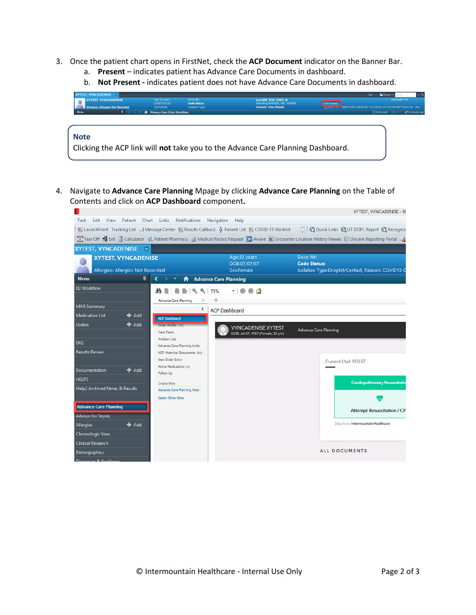- 3. Once the patient chart opens in FirstNet, check the **ACP Document** indicator on the Banner Bar.
	- a. **Present**  indicates patient has Advance Care Documents in dashboard.
	- b. **Not Present -** indicates patient does not have Advance Care Documents in dashboard.

| <b>XYTEST, VYNCADENISE X</b><br><b>XYTEST, VYNCADENISE</b><br><b>Allergies: Allergies Not Recorded</b> | Age:32 years<br>DOB:07/07/87<br>Sex:Female | Dose Wt:<br><b>Code Status:</b><br><b>Isolation Type:</b> | Loc:MK ICU: 2301: A<br>Attending:WARNER, MD, HOMER<br><b>Contact:: View Details</b> | $-0$<br><b>Ga</b> Recent -<br>List<br>MyHealth: No<br><b>ACP:Present</b><br>inpatient FIN: 7380672263 [Admit Dt: 1/21/2020 2:51:35 PM MST Disch Dt: < No -. |
|--------------------------------------------------------------------------------------------------------|--------------------------------------------|-----------------------------------------------------------|-------------------------------------------------------------------------------------|-------------------------------------------------------------------------------------------------------------------------------------------------------------|
| <b>Menu</b><br><b>Note</b>                                                                             | <b>A</b> Primary Care Clinic Workflow      |                                                           | Clicking the ACP link will not take you to the Advance Care Planning Dashboard.     | [D] Full screen<br>₹ 0 minutes ago                                                                                                                          |

4. Navigate to **Advance Care Planning** Mpage by clicking **Advance Care Planning** on the Table of Contents and click on **ACP Dashboard** component**.**